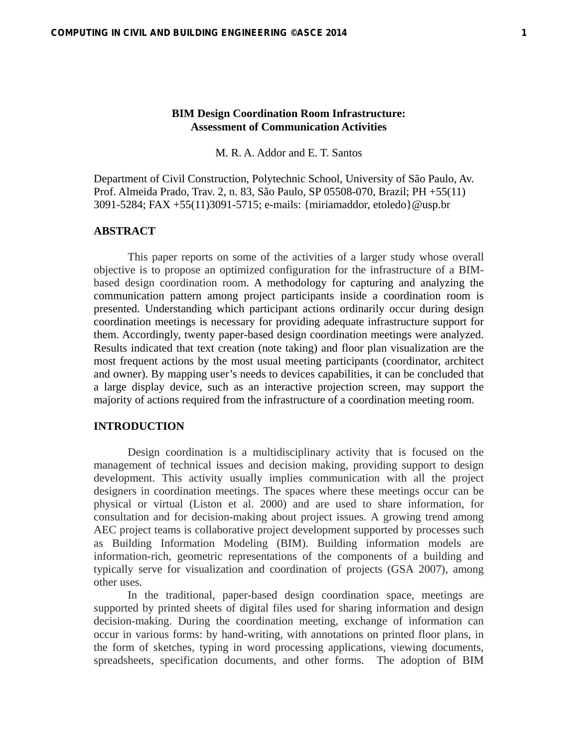## **BIM Design Coordination Room Infrastructure: Assessment of Communication Activities**

M. R. A. Addor and E. T. Santos

Department of Civil Construction, Polytechnic School, University of São Paulo, Av. Prof. Almeida Prado, Trav. 2, n. 83, São Paulo, SP 05508-070, Brazil; PH +55(11) 3091-5284; FAX +55(11)3091-5715; e-mails: {miriamaddor, etoledo}@usp.br

## **ABSTRACT**

This paper reports on some of the activities of a larger study whose overall objective is to propose an optimized configuration for the infrastructure of a BIMbased design coordination room. A methodology for capturing and analyzing the communication pattern among project participants inside a coordination room is presented. Understanding which participant actions ordinarily occur during design coordination meetings is necessary for providing adequate infrastructure support for them. Accordingly, twenty paper-based design coordination meetings were analyzed. Results indicated that text creation (note taking) and floor plan visualization are the most frequent actions by the most usual meeting participants (coordinator, architect and owner). By mapping user's needs to devices capabilities, it can be concluded that a large display device, such as an interactive projection screen, may support the majority of actions required from the infrastructure of a coordination meeting room.

### **INTRODUCTION**

Design coordination is a multidisciplinary activity that is focused on the management of technical issues and decision making, providing support to design development. This activity usually implies communication with all the project designers in coordination meetings. The spaces where these meetings occur can be physical or virtual (Liston et al. 2000) and are used to share information, for consultation and for decision-making about project issues. A growing trend among AEC project teams is collaborative project development supported by processes such as Building Information Modeling (BIM). Building information models are information-rich, geometric representations of the components of a building and typically serve for visualization and coordination of projects (GSA 2007), among other uses.

In the traditional, paper-based design coordination space, meetings are supported by printed sheets of digital files used for sharing information and design decision-making. During the coordination meeting, exchange of information can occur in various forms: by hand-writing, with annotations on printed floor plans, in the form of sketches, typing in word processing applications, viewing documents, spreadsheets, specification documents, and other forms. The adoption of BIM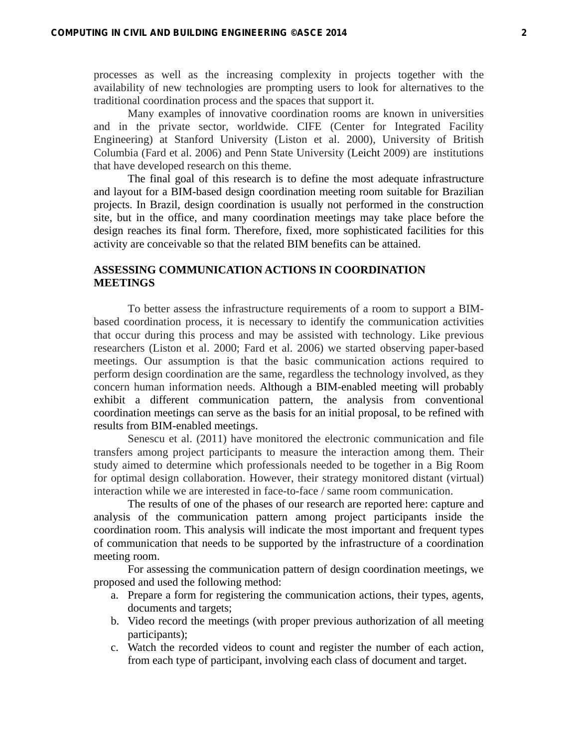processes as well as the increasing complexity in projects together with the availability of new technologies are prompting users to look for alternatives to the traditional coordination process and the spaces that support it.

Many examples of innovative coordination rooms are known in universities and in the private sector, worldwide. CIFE (Center for Integrated Facility Engineering) at Stanford University (Liston et al. 2000), University of British Columbia (Fard et al. 2006) and Penn State University (Leicht 2009) are institutions that have developed research on this theme.

The final goal of this research is to define the most adequate infrastructure and layout for a BIM-based design coordination meeting room suitable for Brazilian projects. In Brazil, design coordination is usually not performed in the construction site, but in the office, and many coordination meetings may take place before the design reaches its final form. Therefore, fixed, more sophisticated facilities for this activity are conceivable so that the related BIM benefits can be attained.

# **ASSESSING COMMUNICATION ACTIONS IN COORDINATION MEETINGS**

To better assess the infrastructure requirements of a room to support a BIMbased coordination process, it is necessary to identify the communication activities that occur during this process and may be assisted with technology. Like previous researchers (Liston et al. 2000; Fard et al. 2006) we started observing paper-based meetings. Our assumption is that the basic communication actions required to perform design coordination are the same, regardless the technology involved, as they concern human information needs. Although a BIM-enabled meeting will probably exhibit a different communication pattern, the analysis from conventional coordination meetings can serve as the basis for an initial proposal, to be refined with results from BIM-enabled meetings.

Senescu et al. (2011) have monitored the electronic communication and file transfers among project participants to measure the interaction among them. Their study aimed to determine which professionals needed to be together in a Big Room for optimal design collaboration. However, their strategy monitored distant (virtual) interaction while we are interested in face-to-face / same room communication.

The results of one of the phases of our research are reported here: capture and analysis of the communication pattern among project participants inside the coordination room. This analysis will indicate the most important and frequent types of communication that needs to be supported by the infrastructure of a coordination meeting room.

 For assessing the communication pattern of design coordination meetings, we proposed and used the following method:

- a. Prepare a form for registering the communication actions, their types, agents, documents and targets;
- b. Video record the meetings (with proper previous authorization of all meeting participants);
- c. Watch the recorded videos to count and register the number of each action, from each type of participant, involving each class of document and target.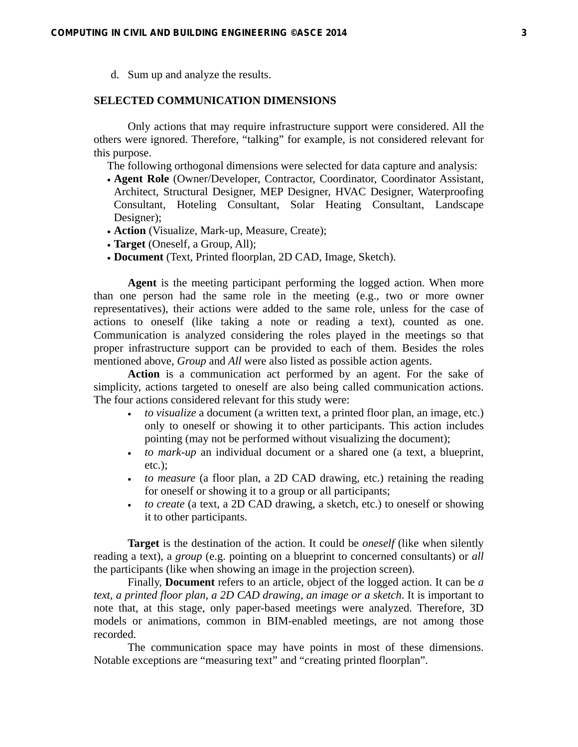d. Sum up and analyze the results.

# **SELECTED COMMUNICATION DIMENSIONS**

Only actions that may require infrastructure support were considered. All the others were ignored. Therefore, "talking" for example, is not considered relevant for this purpose.

The following orthogonal dimensions were selected for data capture and analysis:

- **Agent Role** (Owner/Developer, Contractor, Coordinator, Coordinator Assistant, Architect, Structural Designer, MEP Designer, HVAC Designer, Waterproofing Consultant, Hoteling Consultant, Solar Heating Consultant, Landscape Designer);
- **Action** (Visualize, Mark-up, Measure, Create);
- **Target** (Oneself, a Group, All);
- **Document** (Text, Printed floorplan, 2D CAD, Image, Sketch).

**Agent** is the meeting participant performing the logged action. When more than one person had the same role in the meeting (e.g., two or more owner representatives), their actions were added to the same role, unless for the case of actions to oneself (like taking a note or reading a text), counted as one. Communication is analyzed considering the roles played in the meetings so that proper infrastructure support can be provided to each of them. Besides the roles mentioned above, *Group* and *All* were also listed as possible action agents.

**Action** is a communication act performed by an agent. For the sake of simplicity, actions targeted to oneself are also being called communication actions. The four actions considered relevant for this study were:

- *to visualize* a document (a written text, a printed floor plan, an image, etc.) only to oneself or showing it to other participants. This action includes pointing (may not be performed without visualizing the document);
- *to mark-up* an individual document or a shared one (a text, a blueprint, etc.);
- *to measure* (a floor plan, a 2D CAD drawing, etc.) retaining the reading for oneself or showing it to a group or all participants;
- *to create* (a text, a 2D CAD drawing, a sketch, etc.) to oneself or showing it to other participants.

**Target** is the destination of the action. It could be *oneself* (like when silently reading a text), a *group* (e.g. pointing on a blueprint to concerned consultants) or *all* the participants (like when showing an image in the projection screen).

Finally, **Document** refers to an article, object of the logged action. It can be *a text, a printed floor plan, a 2D CAD drawing, an image or a sketch*. It is important to note that, at this stage, only paper-based meetings were analyzed. Therefore, 3D models or animations, common in BIM-enabled meetings, are not among those recorded.

The communication space may have points in most of these dimensions. Notable exceptions are "measuring text" and "creating printed floorplan".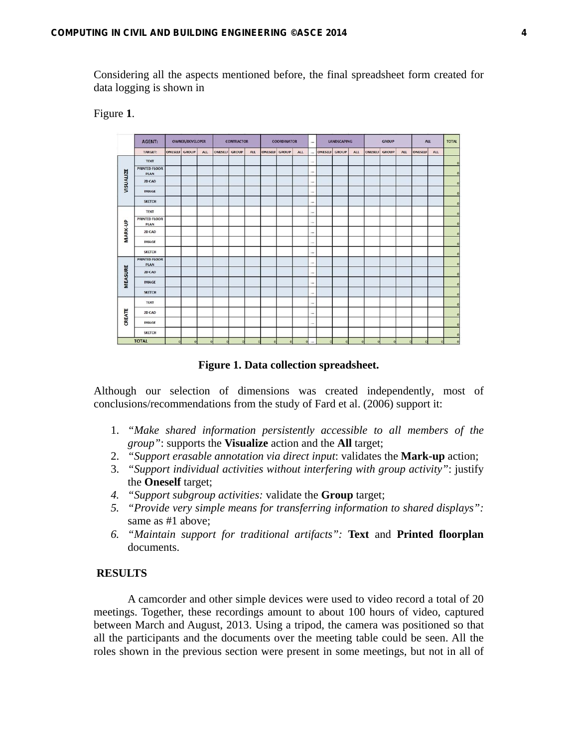Considering all the aspects mentioned before, the final spreadsheet form created for data logging is shown in

## Figure **1**.



**Figure 1. Data collection spreadsheet.** 

Although our selection of dimensions was created independently, most of conclusions/recommendations from the study of Fard et al. (2006) support it:

- 1. *"Make shared information persistently accessible to all members of the group"*: supports the **Visualize** action and the **All** target;
- 2. *"Support erasable annotation via direct input*: validates the **Mark-up** action;
- 3. *"Support individual activities without interfering with group activity"*: justify the **Oneself** target;
- *4. "Support subgroup activities:* validate the **Group** target;
- *5. "Provide very simple means for transferring information to shared displays":*  same as #1 above;
- *6. "Maintain support for traditional artifacts":* **Text** and **Printed floorplan** documents.

### **RESULTS**

 A camcorder and other simple devices were used to video record a total of 20 meetings. Together, these recordings amount to about 100 hours of video, captured between March and August, 2013. Using a tripod, the camera was positioned so that all the participants and the documents over the meeting table could be seen. All the roles shown in the previous section were present in some meetings, but not in all of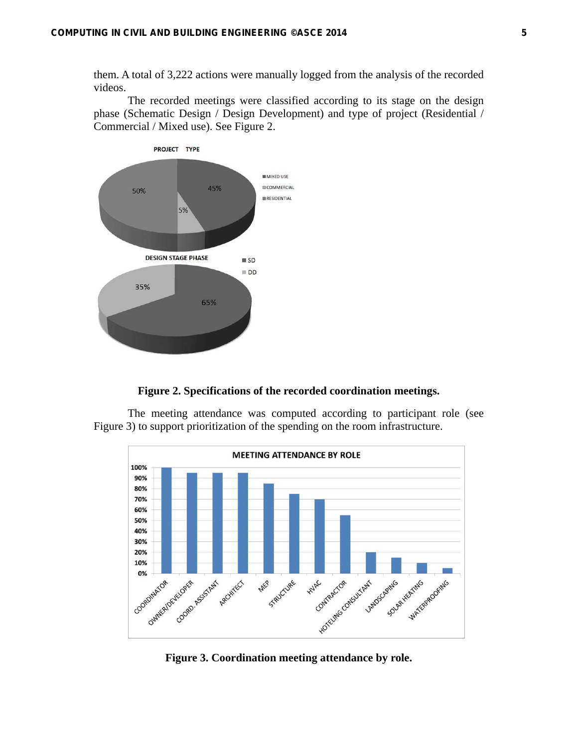them. A total of 3,222 actions were manually logged from the analysis of the recorded videos.

The recorded meetings were classified according to its stage on the design phase (Schematic Design / Design Development) and type of project (Residential / Commercial / Mixed use). See Figure 2.





The meeting attendance was computed according to participant role (see Figure 3) to support prioritization of the spending on the room infrastructure.



**Figure 3. Coordination meeting attendance by role.**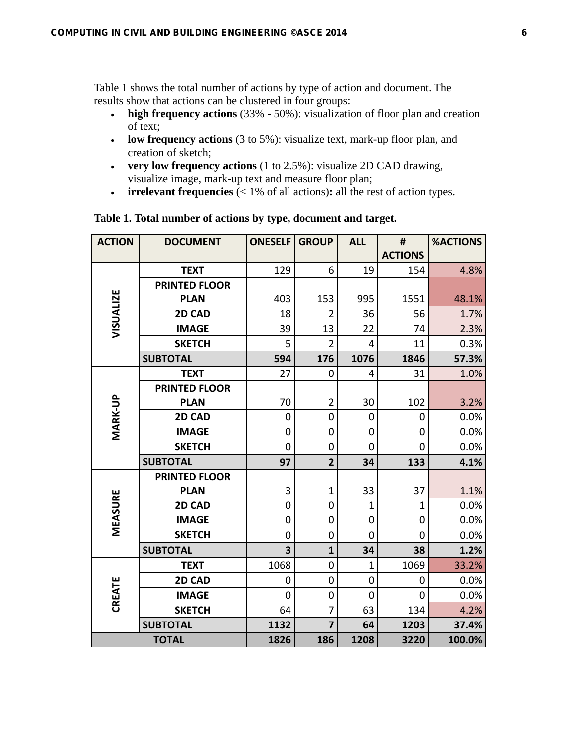Table 1 shows the total number of actions by type of action and document. The results show that actions can be clustered in four groups:

- **high frequency actions** (33% 50%): visualization of floor plan and creation of text;
- **low frequency actions** (3 to 5%): visualize text, mark-up floor plan, and creation of sketch;
- **very low frequency actions** (1 to 2.5%): visualize 2D CAD drawing, visualize image, mark-up text and measure floor plan;
- **irrelevant frequencies**  $\left($  < 1% of all actions): all the rest of action types.

# **Table 1. Total number of actions by type, document and target.**

| <b>ACTION</b>  | <b>DOCUMENT</b>      | <b>ONESELF</b> | <b>GROUP</b>   | <b>ALL</b>     | #<br><b>ACTIONS</b> | <b>%ACTIONS</b> |
|----------------|----------------------|----------------|----------------|----------------|---------------------|-----------------|
| VISUALIZE      | <b>TEXT</b>          | 129            | 6              | 19             | 154                 | 4.8%            |
|                | <b>PRINTED FLOOR</b> |                |                |                |                     |                 |
|                | <b>PLAN</b>          | 403            | 153            | 995            | 1551                | 48.1%           |
|                | 2D CAD               | 18             | $\overline{2}$ | 36             | 56                  | 1.7%            |
|                | <b>IMAGE</b>         | 39             | 13             | 22             | 74                  | 2.3%            |
|                | <b>SKETCH</b>        | 5              | $\overline{2}$ | 4              | 11                  | 0.3%            |
|                | <b>SUBTOTAL</b>      | 594            | 176            | 1076           | 1846                | 57.3%           |
| <b>MARK-UP</b> | <b>TEXT</b>          | 27             | $\mathbf 0$    | 4              | 31                  | 1.0%            |
|                | <b>PRINTED FLOOR</b> |                |                |                |                     |                 |
|                | <b>PLAN</b>          | 70             | $\overline{2}$ | 30             | 102                 | 3.2%            |
|                | 2D CAD               | $\overline{0}$ | 0              | 0              | 0                   | 0.0%            |
|                | <b>IMAGE</b>         | $\mathbf 0$    | $\mathbf 0$    | 0              | $\mathbf 0$         | 0.0%            |
|                | <b>SKETCH</b>        | $\overline{0}$ | $\mathbf 0$    | 0              | $\overline{0}$      | 0.0%            |
|                | <b>SUBTOTAL</b>      | 97             | $\overline{2}$ | 34             | 133                 | 4.1%            |
| MEASURE        | <b>PRINTED FLOOR</b> |                |                |                |                     |                 |
|                | <b>PLAN</b>          | 3              | $\mathbf{1}$   | 33             | 37                  | 1.1%            |
|                | 2D CAD               | $\overline{0}$ | $\mathbf 0$    | $\mathbf{1}$   | 1                   | 0.0%            |
|                | <b>IMAGE</b>         | $\mathbf 0$    | $\mathbf 0$    | $\mathbf 0$    | $\mathbf 0$         | 0.0%            |
|                | <b>SKETCH</b>        | $\mathbf 0$    | $\overline{0}$ | $\overline{0}$ | $\overline{0}$      | 0.0%            |
|                | <b>SUBTOTAL</b>      | 3              | $\mathbf{1}$   | 34             | 38                  | 1.2%            |
| CREATE         | <b>TEXT</b>          | 1068           | 0              | 1              | 1069                | 33.2%           |
|                | 2D CAD               | 0              | $\mathbf 0$    | 0              | 0                   | 0.0%            |
|                | <b>IMAGE</b>         | 0              | $\mathbf 0$    | 0              | 0                   | 0.0%            |
|                | <b>SKETCH</b>        | 64             | $\overline{7}$ | 63             | 134                 | 4.2%            |
|                | <b>SUBTOTAL</b>      | 1132           | $\overline{7}$ | 64             | 1203                | 37.4%           |
| <b>TOTAL</b>   |                      | 1826           | 186            | 1208           | 3220                | 100.0%          |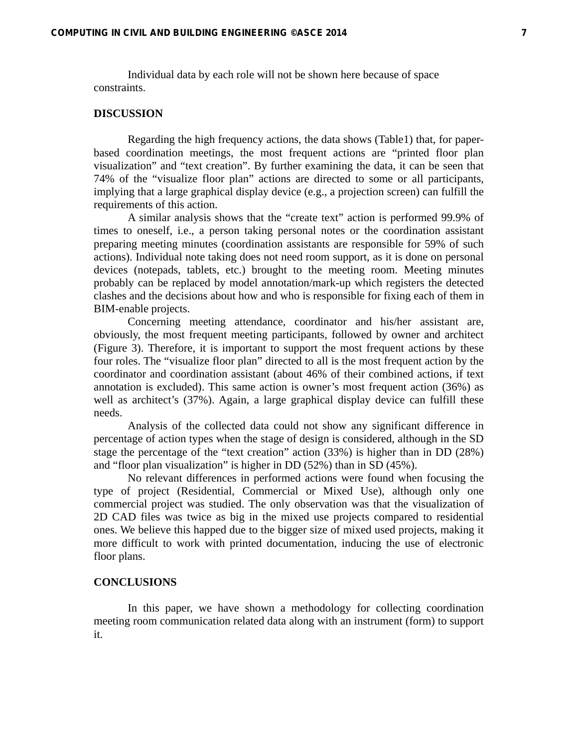Individual data by each role will not be shown here because of space constraints.

#### **DISCUSSION**

Regarding the high frequency actions, the data shows (Table1) that, for paperbased coordination meetings, the most frequent actions are "printed floor plan visualization" and "text creation". By further examining the data, it can be seen that 74% of the "visualize floor plan" actions are directed to some or all participants, implying that a large graphical display device (e.g., a projection screen) can fulfill the requirements of this action.

A similar analysis shows that the "create text" action is performed 99.9% of times to oneself, i.e., a person taking personal notes or the coordination assistant preparing meeting minutes (coordination assistants are responsible for 59% of such actions). Individual note taking does not need room support, as it is done on personal devices (notepads, tablets, etc.) brought to the meeting room. Meeting minutes probably can be replaced by model annotation/mark-up which registers the detected clashes and the decisions about how and who is responsible for fixing each of them in BIM-enable projects.

 Concerning meeting attendance, coordinator and his/her assistant are, obviously, the most frequent meeting participants, followed by owner and architect (Figure 3). Therefore, it is important to support the most frequent actions by these four roles. The "visualize floor plan" directed to all is the most frequent action by the coordinator and coordination assistant (about 46% of their combined actions, if text annotation is excluded). This same action is owner's most frequent action (36%) as well as architect's (37%). Again, a large graphical display device can fulfill these needs.

 Analysis of the collected data could not show any significant difference in percentage of action types when the stage of design is considered, although in the SD stage the percentage of the "text creation" action (33%) is higher than in DD (28%) and "floor plan visualization" is higher in DD (52%) than in SD (45%).

No relevant differences in performed actions were found when focusing the type of project (Residential, Commercial or Mixed Use), although only one commercial project was studied. The only observation was that the visualization of 2D CAD files was twice as big in the mixed use projects compared to residential ones. We believe this happed due to the bigger size of mixed used projects, making it more difficult to work with printed documentation, inducing the use of electronic floor plans.

#### **CONCLUSIONS**

 In this paper, we have shown a methodology for collecting coordination meeting room communication related data along with an instrument (form) to support it.